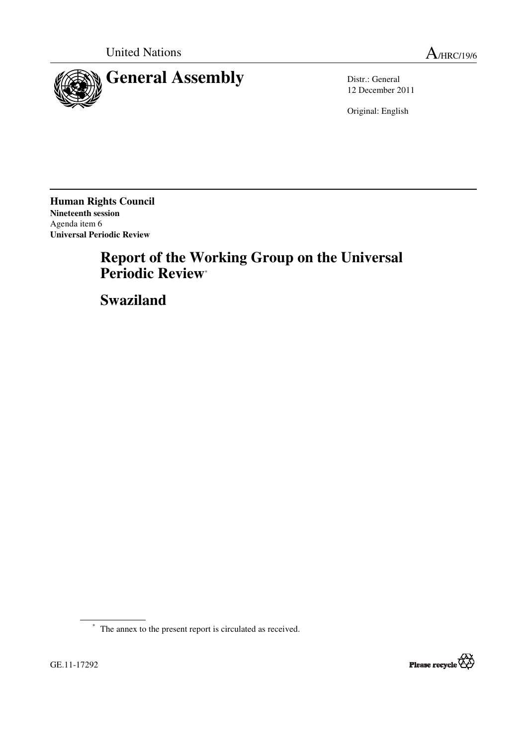



12 December 2011

Original: English

**Human Rights Council Nineteenth session**  Agenda item 6 **Universal Periodic Review** 

# **Report of the Working Group on the Universal Periodic Review**\*

 **Swaziland** 

\* The annex to the present report is circulated as received.

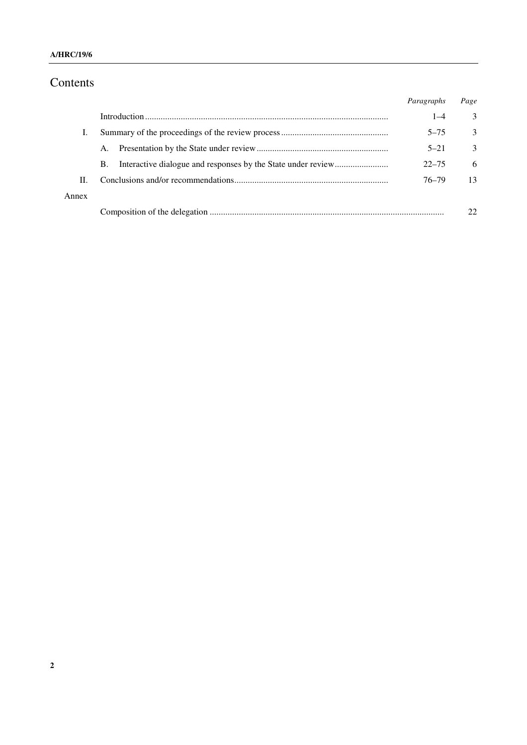# Contents

|       |    | Paragraphs | Page          |
|-------|----|------------|---------------|
|       |    | $1 - 4$    | 3             |
|       |    | $5 - 75$   | $\mathcal{E}$ |
|       | A. | $5 - 21$   | $\mathcal{E}$ |
|       | B. | $22 - 75$  | 6             |
| П.    |    | 76–79      | 13            |
| Annex |    |            |               |
|       |    |            |               |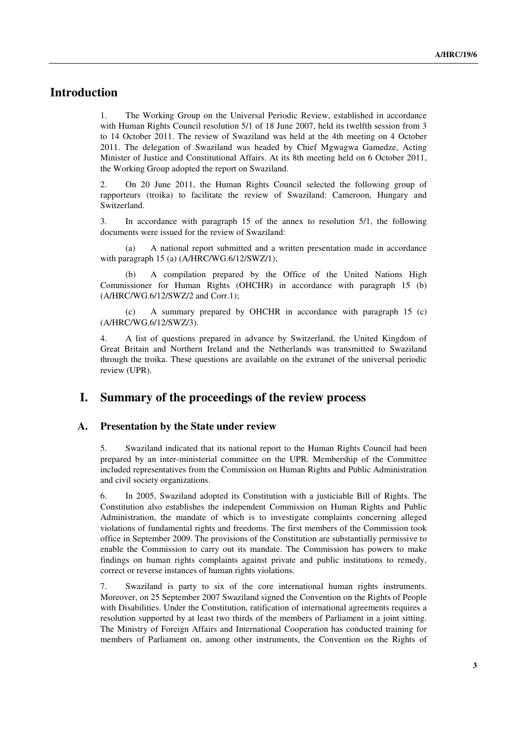## **Introduction**

1. The Working Group on the Universal Periodic Review, established in accordance with Human Rights Council resolution 5/1 of 18 June 2007, held its twelfth session from 3 to 14 October 2011. The review of Swaziland was held at the 4th meeting on 4 October 2011. The delegation of Swaziland was headed by Chief Mgwagwa Gamedze, Acting Minister of Justice and Constitutional Affairs. At its 8th meeting held on 6 October 2011, the Working Group adopted the report on Swaziland.

2. On 20 June 2011, the Human Rights Council selected the following group of rapporteurs (troika) to facilitate the review of Swaziland: Cameroon, Hungary and Switzerland.

3. In accordance with paragraph 15 of the annex to resolution 5/1, the following documents were issued for the review of Swaziland:

 (a) A national report submitted and a written presentation made in accordance with paragraph 15 (a) (A/HRC/WG.6/12/SWZ/1);

 (b) A compilation prepared by the Office of the United Nations High Commissioner for Human Rights (OHCHR) in accordance with paragraph 15 (b) (A/HRC/WG.6/12/SWZ/2 and Corr.1);

 (c) A summary prepared by OHCHR in accordance with paragraph 15 (c) (A/HRC/WG.6/12/SWZ/3).

4. A list of questions prepared in advance by Switzerland, the United Kingdom of Great Britain and Northern Ireland and the Netherlands was transmitted to Swaziland through the troika. These questions are available on the extranet of the universal periodic review (UPR).

### **I. Summary of the proceedings of the review process**

#### **A. Presentation by the State under review**

5. Swaziland indicated that its national report to the Human Rights Council had been prepared by an inter-ministerial committee on the UPR. Membership of the Committee included representatives from the Commission on Human Rights and Public Administration and civil society organizations.

6. In 2005, Swaziland adopted its Constitution with a justiciable Bill of Rights. The Constitution also establishes the independent Commission on Human Rights and Public Administration, the mandate of which is to investigate complaints concerning alleged violations of fundamental rights and freedoms. The first members of the Commission took office in September 2009. The provisions of the Constitution are substantially permissive to enable the Commission to carry out its mandate. The Commission has powers to make findings on human rights complaints against private and public institutions to remedy, correct or reverse instances of human rights violations.

7. Swaziland is party to six of the core international human rights instruments. Moreover, on 25 September 2007 Swaziland signed the Convention on the Rights of People with Disabilities. Under the Constitution, ratification of international agreements requires a resolution supported by at least two thirds of the members of Parliament in a joint sitting. The Ministry of Foreign Affairs and International Cooperation has conducted training for members of Parliament on, among other instruments, the Convention on the Rights of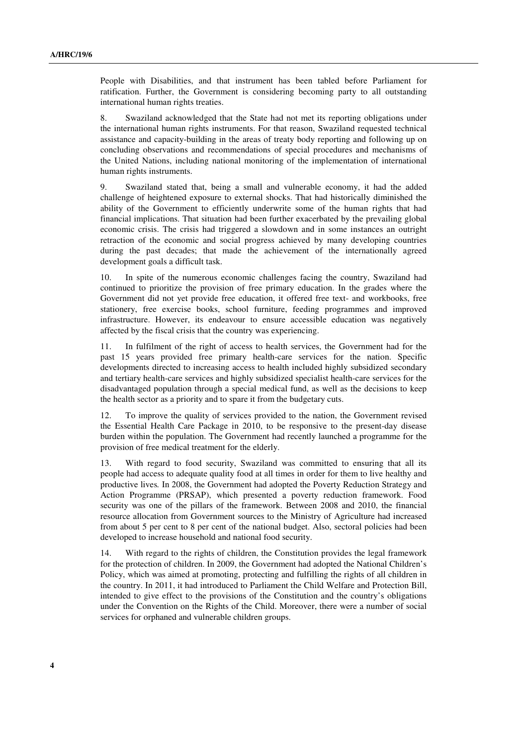People with Disabilities, and that instrument has been tabled before Parliament for ratification. Further, the Government is considering becoming party to all outstanding international human rights treaties.

8. Swaziland acknowledged that the State had not met its reporting obligations under the international human rights instruments. For that reason, Swaziland requested technical assistance and capacity-building in the areas of treaty body reporting and following up on concluding observations and recommendations of special procedures and mechanisms of the United Nations, including national monitoring of the implementation of international human rights instruments.

9. Swaziland stated that, being a small and vulnerable economy, it had the added challenge of heightened exposure to external shocks. That had historically diminished the ability of the Government to efficiently underwrite some of the human rights that had financial implications. That situation had been further exacerbated by the prevailing global economic crisis. The crisis had triggered a slowdown and in some instances an outright retraction of the economic and social progress achieved by many developing countries during the past decades; that made the achievement of the internationally agreed development goals a difficult task.

10. In spite of the numerous economic challenges facing the country, Swaziland had continued to prioritize the provision of free primary education. In the grades where the Government did not yet provide free education, it offered free text- and workbooks, free stationery, free exercise books, school furniture, feeding programmes and improved infrastructure. However, its endeavour to ensure accessible education was negatively affected by the fiscal crisis that the country was experiencing.

11. In fulfilment of the right of access to health services, the Government had for the past 15 years provided free primary health-care services for the nation. Specific developments directed to increasing access to health included highly subsidized secondary and tertiary health-care services and highly subsidized specialist health-care services for the disadvantaged population through a special medical fund, as well as the decisions to keep the health sector as a priority and to spare it from the budgetary cuts.

12. To improve the quality of services provided to the nation, the Government revised the Essential Health Care Package in 2010, to be responsive to the present-day disease burden within the population. The Government had recently launched a programme for the provision of free medical treatment for the elderly.

13. With regard to food security, Swaziland was committed to ensuring that all its people had access to adequate quality food at all times in order for them to live healthy and productive lives*.* In 2008, the Government had adopted the Poverty Reduction Strategy and Action Programme (PRSAP), which presented a poverty reduction framework. Food security was one of the pillars of the framework. Between 2008 and 2010, the financial resource allocation from Government sources to the Ministry of Agriculture had increased from about 5 per cent to 8 per cent of the national budget. Also, sectoral policies had been developed to increase household and national food security.

14. With regard to the rights of children, the Constitution provides the legal framework for the protection of children. In 2009, the Government had adopted the National Children's Policy, which was aimed at promoting, protecting and fulfilling the rights of all children in the country. In 2011, it had introduced to Parliament the Child Welfare and Protection Bill, intended to give effect to the provisions of the Constitution and the country's obligations under the Convention on the Rights of the Child. Moreover, there were a number of social services for orphaned and vulnerable children groups.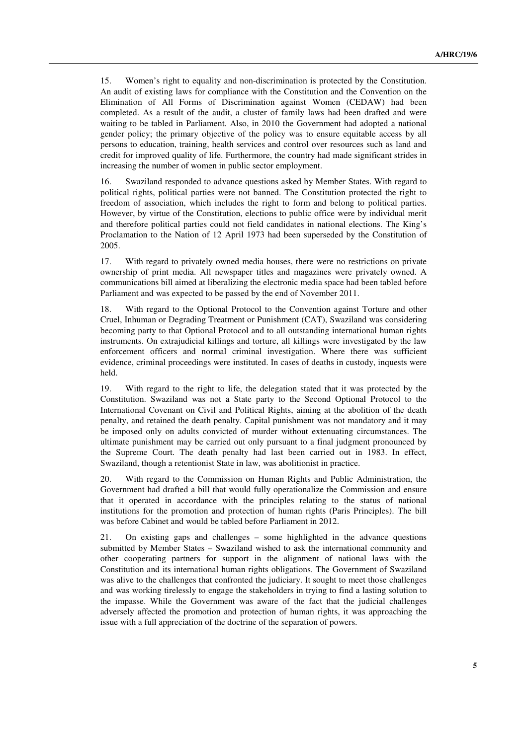15. Women's right to equality and non-discrimination is protected by the Constitution. An audit of existing laws for compliance with the Constitution and the Convention on the Elimination of All Forms of Discrimination against Women (CEDAW) had been completed. As a result of the audit, a cluster of family laws had been drafted and were waiting to be tabled in Parliament. Also, in 2010 the Government had adopted a national gender policy; the primary objective of the policy was to ensure equitable access by all persons to education, training, health services and control over resources such as land and credit for improved quality of life. Furthermore, the country had made significant strides in increasing the number of women in public sector employment.

16. Swaziland responded to advance questions asked by Member States. With regard to political rights, political parties were not banned. The Constitution protected the right to freedom of association, which includes the right to form and belong to political parties. However, by virtue of the Constitution, elections to public office were by individual merit and therefore political parties could not field candidates in national elections. The King's Proclamation to the Nation of 12 April 1973 had been superseded by the Constitution of 2005.

17. With regard to privately owned media houses, there were no restrictions on private ownership of print media. All newspaper titles and magazines were privately owned. A communications bill aimed at liberalizing the electronic media space had been tabled before Parliament and was expected to be passed by the end of November 2011.

18. With regard to the Optional Protocol to the Convention against Torture and other Cruel, Inhuman or Degrading Treatment or Punishment (CAT), Swaziland was considering becoming party to that Optional Protocol and to all outstanding international human rights instruments. On extrajudicial killings and torture, all killings were investigated by the law enforcement officers and normal criminal investigation. Where there was sufficient evidence, criminal proceedings were instituted. In cases of deaths in custody, inquests were held.

19. With regard to the right to life, the delegation stated that it was protected by the Constitution. Swaziland was not a State party to the Second Optional Protocol to the International Covenant on Civil and Political Rights, aiming at the abolition of the death penalty, and retained the death penalty. Capital punishment was not mandatory and it may be imposed only on adults convicted of murder without extenuating circumstances. The ultimate punishment may be carried out only pursuant to a final judgment pronounced by the Supreme Court. The death penalty had last been carried out in 1983. In effect, Swaziland, though a retentionist State in law, was abolitionist in practice.

20. With regard to the Commission on Human Rights and Public Administration, the Government had drafted a bill that would fully operationalize the Commission and ensure that it operated in accordance with the principles relating to the status of national institutions for the promotion and protection of human rights (Paris Principles). The bill was before Cabinet and would be tabled before Parliament in 2012.

21. On existing gaps and challenges – some highlighted in the advance questions submitted by Member States – Swaziland wished to ask the international community and other cooperating partners for support in the alignment of national laws with the Constitution and its international human rights obligations. The Government of Swaziland was alive to the challenges that confronted the judiciary. It sought to meet those challenges and was working tirelessly to engage the stakeholders in trying to find a lasting solution to the impasse. While the Government was aware of the fact that the judicial challenges adversely affected the promotion and protection of human rights, it was approaching the issue with a full appreciation of the doctrine of the separation of powers.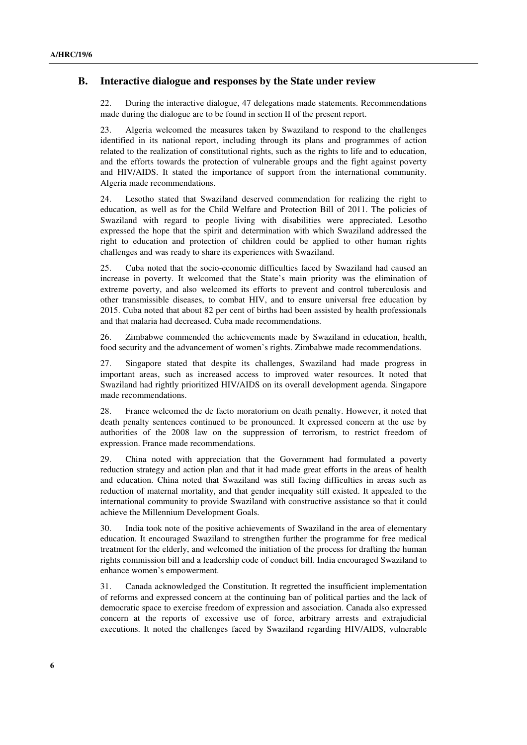### **B. Interactive dialogue and responses by the State under review**

22. During the interactive dialogue, 47 delegations made statements. Recommendations made during the dialogue are to be found in section II of the present report.

23. Algeria welcomed the measures taken by Swaziland to respond to the challenges identified in its national report, including through its plans and programmes of action related to the realization of constitutional rights, such as the rights to life and to education, and the efforts towards the protection of vulnerable groups and the fight against poverty and HIV/AIDS. It stated the importance of support from the international community. Algeria made recommendations.

24. Lesotho stated that Swaziland deserved commendation for realizing the right to education, as well as for the Child Welfare and Protection Bill of 2011. The policies of Swaziland with regard to people living with disabilities were appreciated. Lesotho expressed the hope that the spirit and determination with which Swaziland addressed the right to education and protection of children could be applied to other human rights challenges and was ready to share its experiences with Swaziland.

25. Cuba noted that the socio-economic difficulties faced by Swaziland had caused an increase in poverty. It welcomed that the State's main priority was the elimination of extreme poverty, and also welcomed its efforts to prevent and control tuberculosis and other transmissible diseases, to combat HIV, and to ensure universal free education by 2015. Cuba noted that about 82 per cent of births had been assisted by health professionals and that malaria had decreased. Cuba made recommendations.

26. Zimbabwe commended the achievements made by Swaziland in education, health, food security and the advancement of women's rights. Zimbabwe made recommendations.

27. Singapore stated that despite its challenges, Swaziland had made progress in important areas, such as increased access to improved water resources. It noted that Swaziland had rightly prioritized HIV/AIDS on its overall development agenda. Singapore made recommendations.

28. France welcomed the de facto moratorium on death penalty. However, it noted that death penalty sentences continued to be pronounced. It expressed concern at the use by authorities of the 2008 law on the suppression of terrorism, to restrict freedom of expression. France made recommendations.

29. China noted with appreciation that the Government had formulated a poverty reduction strategy and action plan and that it had made great efforts in the areas of health and education. China noted that Swaziland was still facing difficulties in areas such as reduction of maternal mortality, and that gender inequality still existed. It appealed to the international community to provide Swaziland with constructive assistance so that it could achieve the Millennium Development Goals.

30. India took note of the positive achievements of Swaziland in the area of elementary education. It encouraged Swaziland to strengthen further the programme for free medical treatment for the elderly, and welcomed the initiation of the process for drafting the human rights commission bill and a leadership code of conduct bill. India encouraged Swaziland to enhance women's empowerment.

31. Canada acknowledged the Constitution. It regretted the insufficient implementation of reforms and expressed concern at the continuing ban of political parties and the lack of democratic space to exercise freedom of expression and association. Canada also expressed concern at the reports of excessive use of force, arbitrary arrests and extrajudicial executions. It noted the challenges faced by Swaziland regarding HIV/AIDS, vulnerable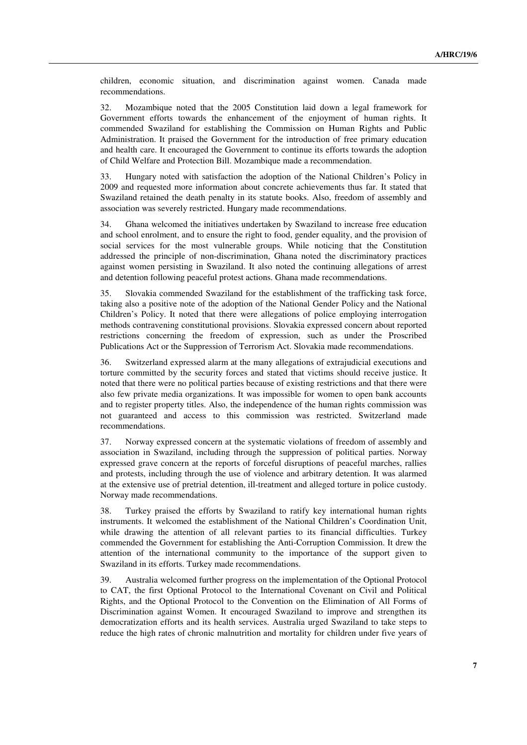children, economic situation, and discrimination against women. Canada made recommendations.

32. Mozambique noted that the 2005 Constitution laid down a legal framework for Government efforts towards the enhancement of the enjoyment of human rights. It commended Swaziland for establishing the Commission on Human Rights and Public Administration. It praised the Government for the introduction of free primary education and health care. It encouraged the Government to continue its efforts towards the adoption of Child Welfare and Protection Bill. Mozambique made a recommendation.

33. Hungary noted with satisfaction the adoption of the National Children's Policy in 2009 and requested more information about concrete achievements thus far. It stated that Swaziland retained the death penalty in its statute books. Also, freedom of assembly and association was severely restricted. Hungary made recommendations.

34. Ghana welcomed the initiatives undertaken by Swaziland to increase free education and school enrolment, and to ensure the right to food, gender equality, and the provision of social services for the most vulnerable groups. While noticing that the Constitution addressed the principle of non-discrimination, Ghana noted the discriminatory practices against women persisting in Swaziland. It also noted the continuing allegations of arrest and detention following peaceful protest actions. Ghana made recommendations.

35. Slovakia commended Swaziland for the establishment of the trafficking task force, taking also a positive note of the adoption of the National Gender Policy and the National Children's Policy. It noted that there were allegations of police employing interrogation methods contravening constitutional provisions. Slovakia expressed concern about reported restrictions concerning the freedom of expression, such as under the Proscribed Publications Act or the Suppression of Terrorism Act. Slovakia made recommendations.

36. Switzerland expressed alarm at the many allegations of extrajudicial executions and torture committed by the security forces and stated that victims should receive justice. It noted that there were no political parties because of existing restrictions and that there were also few private media organizations. It was impossible for women to open bank accounts and to register property titles. Also, the independence of the human rights commission was not guaranteed and access to this commission was restricted. Switzerland made recommendations.

37. Norway expressed concern at the systematic violations of freedom of assembly and association in Swaziland, including through the suppression of political parties. Norway expressed grave concern at the reports of forceful disruptions of peaceful marches, rallies and protests, including through the use of violence and arbitrary detention. It was alarmed at the extensive use of pretrial detention, ill-treatment and alleged torture in police custody. Norway made recommendations.

38. Turkey praised the efforts by Swaziland to ratify key international human rights instruments. It welcomed the establishment of the National Children's Coordination Unit, while drawing the attention of all relevant parties to its financial difficulties. Turkey commended the Government for establishing the Anti-Corruption Commission. It drew the attention of the international community to the importance of the support given to Swaziland in its efforts. Turkey made recommendations.

39. Australia welcomed further progress on the implementation of the Optional Protocol to CAT, the first Optional Protocol to the International Covenant on Civil and Political Rights, and the Optional Protocol to the Convention on the Elimination of All Forms of Discrimination against Women. It encouraged Swaziland to improve and strengthen its democratization efforts and its health services. Australia urged Swaziland to take steps to reduce the high rates of chronic malnutrition and mortality for children under five years of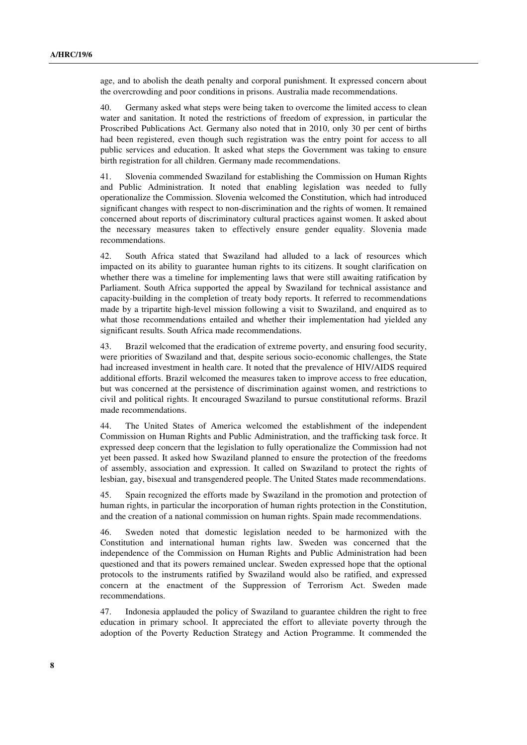age, and to abolish the death penalty and corporal punishment. It expressed concern about the overcrowding and poor conditions in prisons. Australia made recommendations.

40. Germany asked what steps were being taken to overcome the limited access to clean water and sanitation. It noted the restrictions of freedom of expression, in particular the Proscribed Publications Act. Germany also noted that in 2010, only 30 per cent of births had been registered, even though such registration was the entry point for access to all public services and education. It asked what steps the Government was taking to ensure birth registration for all children. Germany made recommendations.

41. Slovenia commended Swaziland for establishing the Commission on Human Rights and Public Administration. It noted that enabling legislation was needed to fully operationalize the Commission. Slovenia welcomed the Constitution, which had introduced significant changes with respect to non-discrimination and the rights of women. It remained concerned about reports of discriminatory cultural practices against women. It asked about the necessary measures taken to effectively ensure gender equality. Slovenia made recommendations.

42. South Africa stated that Swaziland had alluded to a lack of resources which impacted on its ability to guarantee human rights to its citizens. It sought clarification on whether there was a timeline for implementing laws that were still awaiting ratification by Parliament. South Africa supported the appeal by Swaziland for technical assistance and capacity-building in the completion of treaty body reports. It referred to recommendations made by a tripartite high-level mission following a visit to Swaziland, and enquired as to what those recommendations entailed and whether their implementation had yielded any significant results. South Africa made recommendations.

43. Brazil welcomed that the eradication of extreme poverty, and ensuring food security, were priorities of Swaziland and that, despite serious socio-economic challenges, the State had increased investment in health care. It noted that the prevalence of HIV/AIDS required additional efforts. Brazil welcomed the measures taken to improve access to free education, but was concerned at the persistence of discrimination against women, and restrictions to civil and political rights. It encouraged Swaziland to pursue constitutional reforms. Brazil made recommendations.

44. The United States of America welcomed the establishment of the independent Commission on Human Rights and Public Administration, and the trafficking task force. It expressed deep concern that the legislation to fully operationalize the Commission had not yet been passed. It asked how Swaziland planned to ensure the protection of the freedoms of assembly, association and expression. It called on Swaziland to protect the rights of lesbian, gay, bisexual and transgendered people. The United States made recommendations.

45. Spain recognized the efforts made by Swaziland in the promotion and protection of human rights, in particular the incorporation of human rights protection in the Constitution, and the creation of a national commission on human rights. Spain made recommendations.

46. Sweden noted that domestic legislation needed to be harmonized with the Constitution and international human rights law. Sweden was concerned that the independence of the Commission on Human Rights and Public Administration had been questioned and that its powers remained unclear. Sweden expressed hope that the optional protocols to the instruments ratified by Swaziland would also be ratified, and expressed concern at the enactment of the Suppression of Terrorism Act. Sweden made recommendations.

47. Indonesia applauded the policy of Swaziland to guarantee children the right to free education in primary school. It appreciated the effort to alleviate poverty through the adoption of the Poverty Reduction Strategy and Action Programme. It commended the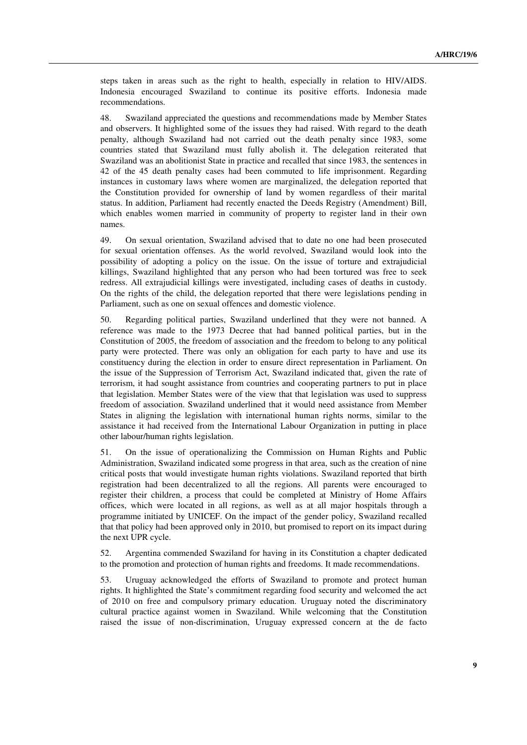steps taken in areas such as the right to health, especially in relation to HIV/AIDS. Indonesia encouraged Swaziland to continue its positive efforts. Indonesia made recommendations.

48. Swaziland appreciated the questions and recommendations made by Member States and observers. It highlighted some of the issues they had raised. With regard to the death penalty, although Swaziland had not carried out the death penalty since 1983, some countries stated that Swaziland must fully abolish it. The delegation reiterated that Swaziland was an abolitionist State in practice and recalled that since 1983, the sentences in 42 of the 45 death penalty cases had been commuted to life imprisonment. Regarding instances in customary laws where women are marginalized, the delegation reported that the Constitution provided for ownership of land by women regardless of their marital status. In addition, Parliament had recently enacted the Deeds Registry (Amendment) Bill, which enables women married in community of property to register land in their own names.

49. On sexual orientation, Swaziland advised that to date no one had been prosecuted for sexual orientation offenses. As the world revolved, Swaziland would look into the possibility of adopting a policy on the issue. On the issue of torture and extrajudicial killings, Swaziland highlighted that any person who had been tortured was free to seek redress. All extrajudicial killings were investigated, including cases of deaths in custody. On the rights of the child, the delegation reported that there were legislations pending in Parliament, such as one on sexual offences and domestic violence.

50. Regarding political parties, Swaziland underlined that they were not banned. A reference was made to the 1973 Decree that had banned political parties, but in the Constitution of 2005, the freedom of association and the freedom to belong to any political party were protected. There was only an obligation for each party to have and use its constituency during the election in order to ensure direct representation in Parliament. On the issue of the Suppression of Terrorism Act, Swaziland indicated that, given the rate of terrorism, it had sought assistance from countries and cooperating partners to put in place that legislation. Member States were of the view that that legislation was used to suppress freedom of association. Swaziland underlined that it would need assistance from Member States in aligning the legislation with international human rights norms, similar to the assistance it had received from the International Labour Organization in putting in place other labour/human rights legislation.

51. On the issue of operationalizing the Commission on Human Rights and Public Administration, Swaziland indicated some progress in that area, such as the creation of nine critical posts that would investigate human rights violations. Swaziland reported that birth registration had been decentralized to all the regions. All parents were encouraged to register their children, a process that could be completed at Ministry of Home Affairs offices, which were located in all regions, as well as at all major hospitals through a programme initiated by UNICEF. On the impact of the gender policy, Swaziland recalled that that policy had been approved only in 2010, but promised to report on its impact during the next UPR cycle.

52. Argentina commended Swaziland for having in its Constitution a chapter dedicated to the promotion and protection of human rights and freedoms. It made recommendations.

53. Uruguay acknowledged the efforts of Swaziland to promote and protect human rights. It highlighted the State's commitment regarding food security and welcomed the act of 2010 on free and compulsory primary education. Uruguay noted the discriminatory cultural practice against women in Swaziland. While welcoming that the Constitution raised the issue of non-discrimination, Uruguay expressed concern at the de facto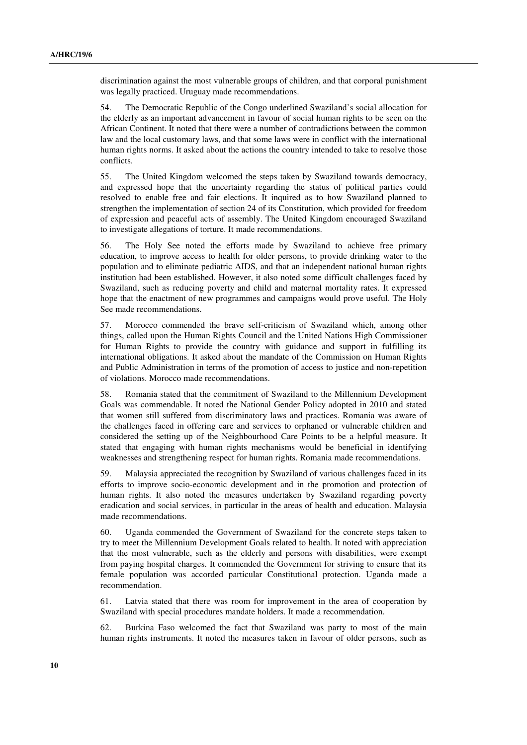discrimination against the most vulnerable groups of children, and that corporal punishment was legally practiced. Uruguay made recommendations.

54. The Democratic Republic of the Congo underlined Swaziland's social allocation for the elderly as an important advancement in favour of social human rights to be seen on the African Continent. It noted that there were a number of contradictions between the common law and the local customary laws, and that some laws were in conflict with the international human rights norms. It asked about the actions the country intended to take to resolve those conflicts.

55. The United Kingdom welcomed the steps taken by Swaziland towards democracy, and expressed hope that the uncertainty regarding the status of political parties could resolved to enable free and fair elections. It inquired as to how Swaziland planned to strengthen the implementation of section 24 of its Constitution, which provided for freedom of expression and peaceful acts of assembly. The United Kingdom encouraged Swaziland to investigate allegations of torture. It made recommendations.

56. The Holy See noted the efforts made by Swaziland to achieve free primary education, to improve access to health for older persons, to provide drinking water to the population and to eliminate pediatric AIDS, and that an independent national human rights institution had been established. However, it also noted some difficult challenges faced by Swaziland, such as reducing poverty and child and maternal mortality rates. It expressed hope that the enactment of new programmes and campaigns would prove useful. The Holy See made recommendations.

57. Morocco commended the brave self-criticism of Swaziland which, among other things, called upon the Human Rights Council and the United Nations High Commissioner for Human Rights to provide the country with guidance and support in fulfilling its international obligations. It asked about the mandate of the Commission on Human Rights and Public Administration in terms of the promotion of access to justice and non-repetition of violations. Morocco made recommendations.

58. Romania stated that the commitment of Swaziland to the Millennium Development Goals was commendable. It noted the National Gender Policy adopted in 2010 and stated that women still suffered from discriminatory laws and practices. Romania was aware of the challenges faced in offering care and services to orphaned or vulnerable children and considered the setting up of the Neighbourhood Care Points to be a helpful measure. It stated that engaging with human rights mechanisms would be beneficial in identifying weaknesses and strengthening respect for human rights. Romania made recommendations.

59. Malaysia appreciated the recognition by Swaziland of various challenges faced in its efforts to improve socio-economic development and in the promotion and protection of human rights. It also noted the measures undertaken by Swaziland regarding poverty eradication and social services, in particular in the areas of health and education. Malaysia made recommendations.

60. Uganda commended the Government of Swaziland for the concrete steps taken to try to meet the Millennium Development Goals related to health. It noted with appreciation that the most vulnerable, such as the elderly and persons with disabilities, were exempt from paying hospital charges. It commended the Government for striving to ensure that its female population was accorded particular Constitutional protection. Uganda made a recommendation.

61. Latvia stated that there was room for improvement in the area of cooperation by Swaziland with special procedures mandate holders. It made a recommendation.

62. Burkina Faso welcomed the fact that Swaziland was party to most of the main human rights instruments. It noted the measures taken in favour of older persons, such as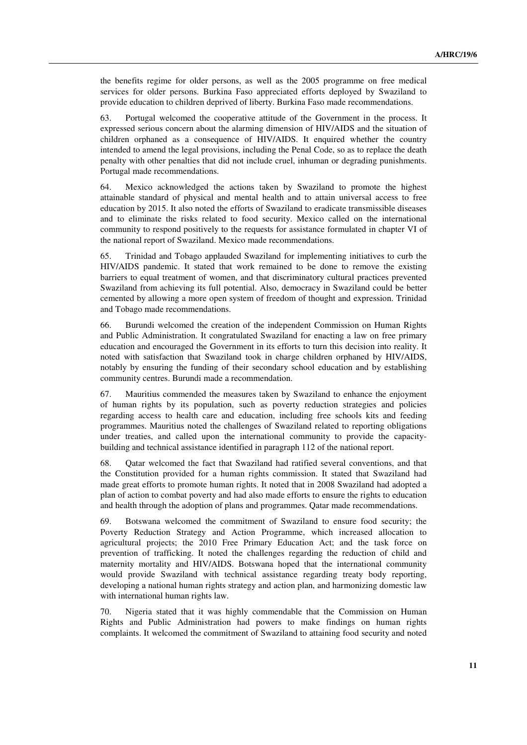the benefits regime for older persons, as well as the 2005 programme on free medical services for older persons. Burkina Faso appreciated efforts deployed by Swaziland to provide education to children deprived of liberty. Burkina Faso made recommendations.

63. Portugal welcomed the cooperative attitude of the Government in the process. It expressed serious concern about the alarming dimension of HIV/AIDS and the situation of children orphaned as a consequence of HIV/AIDS. It enquired whether the country intended to amend the legal provisions, including the Penal Code, so as to replace the death penalty with other penalties that did not include cruel, inhuman or degrading punishments. Portugal made recommendations.

64. Mexico acknowledged the actions taken by Swaziland to promote the highest attainable standard of physical and mental health and to attain universal access to free education by 2015. It also noted the efforts of Swaziland to eradicate transmissible diseases and to eliminate the risks related to food security. Mexico called on the international community to respond positively to the requests for assistance formulated in chapter VI of the national report of Swaziland. Mexico made recommendations.

65. Trinidad and Tobago applauded Swaziland for implementing initiatives to curb the HIV/AIDS pandemic. It stated that work remained to be done to remove the existing barriers to equal treatment of women, and that discriminatory cultural practices prevented Swaziland from achieving its full potential. Also, democracy in Swaziland could be better cemented by allowing a more open system of freedom of thought and expression. Trinidad and Tobago made recommendations.

66. Burundi welcomed the creation of the independent Commission on Human Rights and Public Administration. It congratulated Swaziland for enacting a law on free primary education and encouraged the Government in its efforts to turn this decision into reality. It noted with satisfaction that Swaziland took in charge children orphaned by HIV/AIDS, notably by ensuring the funding of their secondary school education and by establishing community centres. Burundi made a recommendation.

67. Mauritius commended the measures taken by Swaziland to enhance the enjoyment of human rights by its population, such as poverty reduction strategies and policies regarding access to health care and education, including free schools kits and feeding programmes. Mauritius noted the challenges of Swaziland related to reporting obligations under treaties, and called upon the international community to provide the capacitybuilding and technical assistance identified in paragraph 112 of the national report.

68. Qatar welcomed the fact that Swaziland had ratified several conventions, and that the Constitution provided for a human rights commission. It stated that Swaziland had made great efforts to promote human rights. It noted that in 2008 Swaziland had adopted a plan of action to combat poverty and had also made efforts to ensure the rights to education and health through the adoption of plans and programmes. Qatar made recommendations.

69. Botswana welcomed the commitment of Swaziland to ensure food security; the Poverty Reduction Strategy and Action Programme, which increased allocation to agricultural projects; the 2010 Free Primary Education Act; and the task force on prevention of trafficking. It noted the challenges regarding the reduction of child and maternity mortality and HIV/AIDS. Botswana hoped that the international community would provide Swaziland with technical assistance regarding treaty body reporting, developing a national human rights strategy and action plan, and harmonizing domestic law with international human rights law.

70. Nigeria stated that it was highly commendable that the Commission on Human Rights and Public Administration had powers to make findings on human rights complaints. It welcomed the commitment of Swaziland to attaining food security and noted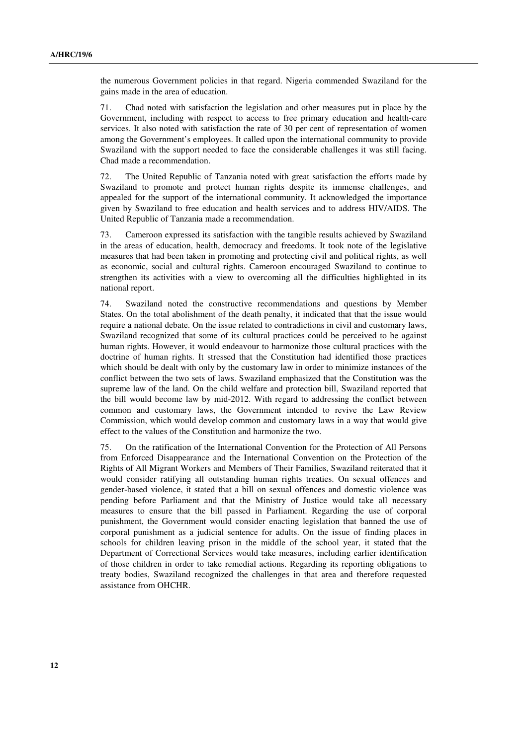the numerous Government policies in that regard. Nigeria commended Swaziland for the gains made in the area of education.

71. Chad noted with satisfaction the legislation and other measures put in place by the Government, including with respect to access to free primary education and health-care services. It also noted with satisfaction the rate of 30 per cent of representation of women among the Government's employees. It called upon the international community to provide Swaziland with the support needed to face the considerable challenges it was still facing. Chad made a recommendation.

72. The United Republic of Tanzania noted with great satisfaction the efforts made by Swaziland to promote and protect human rights despite its immense challenges, and appealed for the support of the international community. It acknowledged the importance given by Swaziland to free education and health services and to address HIV/AIDS. The United Republic of Tanzania made a recommendation.

73. Cameroon expressed its satisfaction with the tangible results achieved by Swaziland in the areas of education, health, democracy and freedoms. It took note of the legislative measures that had been taken in promoting and protecting civil and political rights, as well as economic, social and cultural rights. Cameroon encouraged Swaziland to continue to strengthen its activities with a view to overcoming all the difficulties highlighted in its national report.

74. Swaziland noted the constructive recommendations and questions by Member States. On the total abolishment of the death penalty, it indicated that that the issue would require a national debate. On the issue related to contradictions in civil and customary laws, Swaziland recognized that some of its cultural practices could be perceived to be against human rights. However, it would endeavour to harmonize those cultural practices with the doctrine of human rights. It stressed that the Constitution had identified those practices which should be dealt with only by the customary law in order to minimize instances of the conflict between the two sets of laws. Swaziland emphasized that the Constitution was the supreme law of the land. On the child welfare and protection bill, Swaziland reported that the bill would become law by mid-2012. With regard to addressing the conflict between common and customary laws, the Government intended to revive the Law Review Commission, which would develop common and customary laws in a way that would give effect to the values of the Constitution and harmonize the two.

75. On the ratification of the International Convention for the Protection of All Persons from Enforced Disappearance and the International Convention on the Protection of the Rights of All Migrant Workers and Members of Their Families, Swaziland reiterated that it would consider ratifying all outstanding human rights treaties. On sexual offences and gender-based violence, it stated that a bill on sexual offences and domestic violence was pending before Parliament and that the Ministry of Justice would take all necessary measures to ensure that the bill passed in Parliament. Regarding the use of corporal punishment, the Government would consider enacting legislation that banned the use of corporal punishment as a judicial sentence for adults. On the issue of finding places in schools for children leaving prison in the middle of the school year, it stated that the Department of Correctional Services would take measures, including earlier identification of those children in order to take remedial actions. Regarding its reporting obligations to treaty bodies, Swaziland recognized the challenges in that area and therefore requested assistance from OHCHR.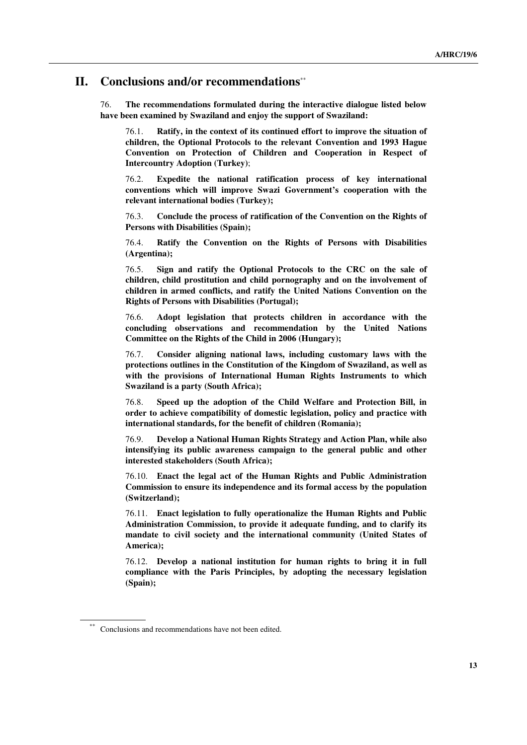### **II. Conclusions and/or recommendations**\*\*

76. **The recommendations formulated during the interactive dialogue listed below have been examined by Swaziland and enjoy the support of Swaziland:**

76.1. **Ratify, in the context of its continued effort to improve the situation of children, the Optional Protocols to the relevant Convention and 1993 Hague Convention on Protection of Children and Cooperation in Respect of Intercountry Adoption (Turkey)**;

76.2. **Expedite the national ratification process of key international conventions which will improve Swazi Government's cooperation with the relevant international bodies (Turkey);**

76.3. **Conclude the process of ratification of the Convention on the Rights of Persons with Disabilities (Spain);**

76.4. **Ratify the Convention on the Rights of Persons with Disabilities (Argentina);**

76.5. **Sign and ratify the Optional Protocols to the CRC on the sale of children, child prostitution and child pornography and on the involvement of children in armed conflicts, and ratify the United Nations Convention on the Rights of Persons with Disabilities (Portugal);**

76.6. **Adopt legislation that protects children in accordance with the concluding observations and recommendation by the United Nations Committee on the Rights of the Child in 2006 (Hungary);**

76.7. **Consider aligning national laws, including customary laws with the protections outlines in the Constitution of the Kingdom of Swaziland, as well as with the provisions of International Human Rights Instruments to which Swaziland is a party (South Africa);**

76.8. **Speed up the adoption of the Child Welfare and Protection Bill, in order to achieve compatibility of domestic legislation, policy and practice with international standards, for the benefit of children (Romania);**

76.9. **Develop a National Human Rights Strategy and Action Plan, while also intensifying its public awareness campaign to the general public and other interested stakeholders (South Africa);**

76.10. **Enact the legal act of the Human Rights and Public Administration Commission to ensure its independence and its formal access by the population (Switzerland);**

76.11. **Enact legislation to fully operationalize the Human Rights and Public Administration Commission, to provide it adequate funding, and to clarify its mandate to civil society and the international community (United States of America);**

76.12. **Develop a national institution for human rights to bring it in full compliance with the Paris Principles, by adopting the necessary legislation (Spain);**

Conclusions and recommendations have not been edited.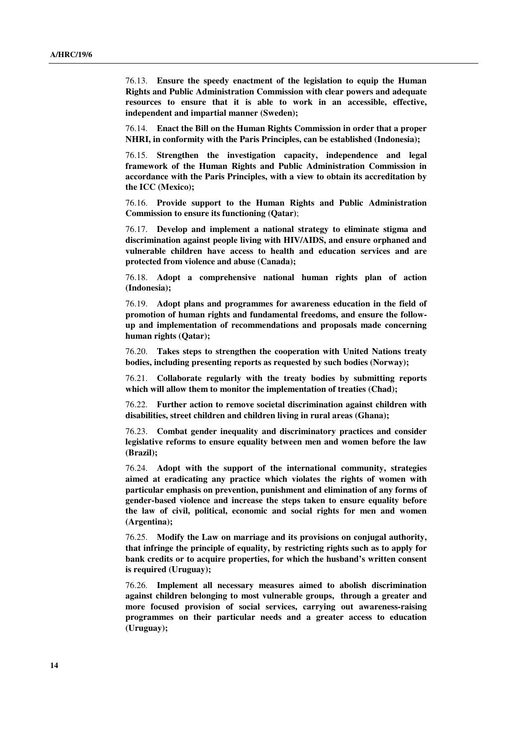76.13. **Ensure the speedy enactment of the legislation to equip the Human Rights and Public Administration Commission with clear powers and adequate resources to ensure that it is able to work in an accessible, effective, independent and impartial manner (Sweden);**

76.14. **Enact the Bill on the Human Rights Commission in order that a proper NHRI, in conformity with the Paris Principles, can be established (Indonesia);**

76.15. **Strengthen the investigation capacity, independence and legal framework of the Human Rights and Public Administration Commission in accordance with the Paris Principles, with a view to obtain its accreditation by the ICC (Mexico);**

76.16. **Provide support to the Human Rights and Public Administration Commission to ensure its functioning (Qatar)**;

76.17. **Develop and implement a national strategy to eliminate stigma and discrimination against people living with HIV/AIDS, and ensure orphaned and vulnerable children have access to health and education services and are protected from violence and abuse (Canada);**

76.18. **Adopt a comprehensive national human rights plan of action (Indonesia);**

76.19. **Adopt plans and programmes for awareness education in the field of promotion of human rights and fundamental freedoms, and ensure the followup and implementation of recommendations and proposals made concerning human rights (Qatar);**

76.20. **Takes steps to strengthen the cooperation with United Nations treaty bodies, including presenting reports as requested by such bodies (Norway);**

76.21. **Collaborate regularly with the treaty bodies by submitting reports which will allow them to monitor the implementation of treaties (Chad);**

76.22. **Further action to remove societal discrimination against children with disabilities, street children and children living in rural areas (Ghana);**

76.23. **Combat gender inequality and discriminatory practices and consider legislative reforms to ensure equality between men and women before the law (Brazil);**

76.24. **Adopt with the support of the international community, strategies aimed at eradicating any practice which violates the rights of women with particular emphasis on prevention, punishment and elimination of any forms of gender-based violence and increase the steps taken to ensure equality before the law of civil, political, economic and social rights for men and women (Argentina);**

76.25. **Modify the Law on marriage and its provisions on conjugal authority, that infringe the principle of equality, by restricting rights such as to apply for bank credits or to acquire properties, for which the husband's written consent is required (Uruguay);**

76.26. **Implement all necessary measures aimed to abolish discrimination against children belonging to most vulnerable groups, through a greater and more focused provision of social services, carrying out awareness-raising programmes on their particular needs and a greater access to education (Uruguay);**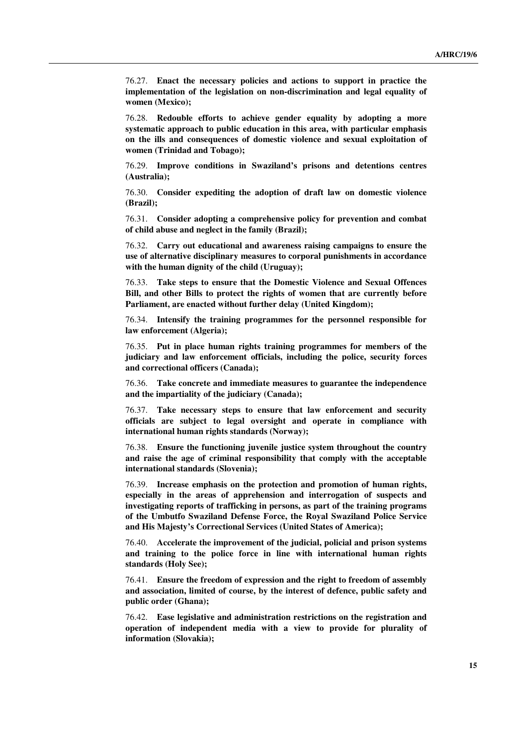76.27. **Enact the necessary policies and actions to support in practice the implementation of the legislation on non-discrimination and legal equality of women (Mexico);**

76.28. **Redouble efforts to achieve gender equality by adopting a more systematic approach to public education in this area, with particular emphasis on the ills and consequences of domestic violence and sexual exploitation of women (Trinidad and Tobago);**

76.29. **Improve conditions in Swaziland's prisons and detentions centres (Australia);**

76.30. **Consider expediting the adoption of draft law on domestic violence (Brazil);**

76.31. **Consider adopting a comprehensive policy for prevention and combat of child abuse and neglect in the family (Brazil);**

76.32. **Carry out educational and awareness raising campaigns to ensure the use of alternative disciplinary measures to corporal punishments in accordance with the human dignity of the child (Uruguay);**

76.33. **Take steps to ensure that the Domestic Violence and Sexual Offences Bill, and other Bills to protect the rights of women that are currently before Parliament, are enacted without further delay (United Kingdom);**

76.34. **Intensify the training programmes for the personnel responsible for law enforcement (Algeria);**

76.35. **Put in place human rights training programmes for members of the judiciary and law enforcement officials, including the police, security forces and correctional officers (Canada);**

76.36. **Take concrete and immediate measures to guarantee the independence and the impartiality of the judiciary (Canada);**

76.37. **Take necessary steps to ensure that law enforcement and security officials are subject to legal oversight and operate in compliance with international human rights standards (Norway);**

76.38. **Ensure the functioning juvenile justice system throughout the country and raise the age of criminal responsibility that comply with the acceptable international standards (Slovenia);**

76.39. **Increase emphasis on the protection and promotion of human rights, especially in the areas of apprehension and interrogation of suspects and investigating reports of trafficking in persons, as part of the training programs of the Umbutfo Swaziland Defense Force, the Royal Swaziland Police Service and His Majesty's Correctional Services (United States of America);**

76.40. **Accelerate the improvement of the judicial, policial and prison systems and training to the police force in line with international human rights standards (Holy See);**

76.41. **Ensure the freedom of expression and the right to freedom of assembly and association, limited of course, by the interest of defence, public safety and public order (Ghana);**

76.42. **Ease legislative and administration restrictions on the registration and operation of independent media with a view to provide for plurality of information (Slovakia);**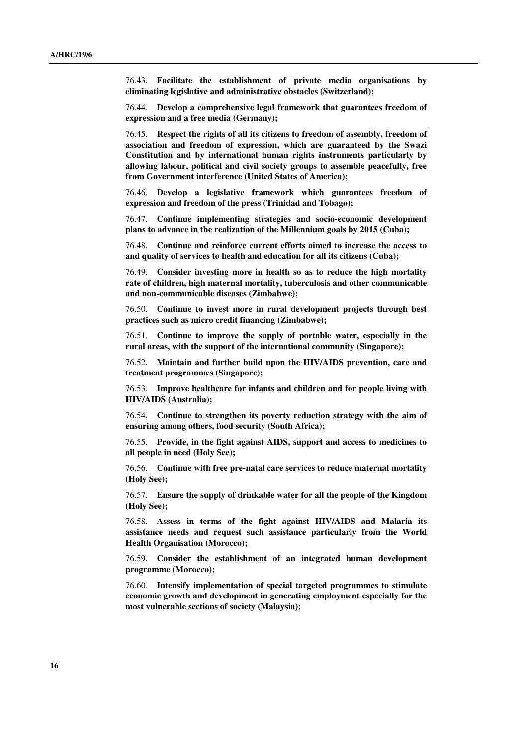76.43. **Facilitate the establishment of private media organisations by eliminating legislative and administrative obstacles (Switzerland);**

76.44. **Develop a comprehensive legal framework that guarantees freedom of expression and a free media (Germany);**

76.45. **Respect the rights of all its citizens to freedom of assembly, freedom of association and freedom of expression, which are guaranteed by the Swazi Constitution and by international human rights instruments particularly by allowing labour, political and civil society groups to assemble peacefully, free from Government interference (United States of America);**

76.46. **Develop a legislative framework which guarantees freedom of expression and freedom of the press (Trinidad and Tobago);**

76.47. **Continue implementing strategies and socio-economic development plans to advance in the realization of the Millennium goals by 2015 (Cuba);**

76.48. **Continue and reinforce current efforts aimed to increase the access to and quality of services to health and education for all its citizens (Cuba);**

76.49. **Consider investing more in health so as to reduce the high mortality rate of children, high maternal mortality, tuberculosis and other communicable and non-communicable diseases (Zimbabwe);**

76.50. **Continue to invest more in rural development projects through best practices such as micro credit financing (Zimbabwe);**

76.51. **Continue to improve the supply of portable water, especially in the rural areas, with the support of the international community (Singapore);**

76.52. **Maintain and further build upon the HIV/AIDS prevention, care and treatment programmes (Singapore);**

76.53. **Improve healthcare for infants and children and for people living with HIV/AIDS (Australia);**

76.54. **Continue to strengthen its poverty reduction strategy with the aim of ensuring among others, food security (South Africa);**

76.55. **Provide, in the fight against AIDS, support and access to medicines to all people in need (Holy See);**

76.56. **Continue with free pre-natal care services to reduce maternal mortality (Holy See);**

76.57. **Ensure the supply of drinkable water for all the people of the Kingdom (Holy See);**

76.58. **Assess in terms of the fight against HIV/AIDS and Malaria its assistance needs and request such assistance particularly from the World Health Organisation (Morocco);**

76.59. **Consider the establishment of an integrated human development programme (Morocco);**

76.60. **Intensify implementation of special targeted programmes to stimulate economic growth and development in generating employment especially for the most vulnerable sections of society (Malaysia);**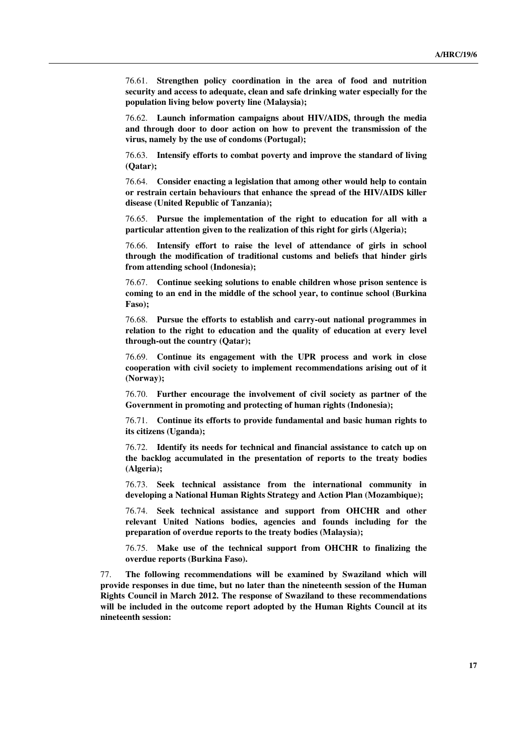76.61. **Strengthen policy coordination in the area of food and nutrition security and access to adequate, clean and safe drinking water especially for the population living below poverty line (Malaysia);**

76.62. **Launch information campaigns about HIV/AIDS, through the media and through door to door action on how to prevent the transmission of the virus, namely by the use of condoms (Portugal);**

76.63. **Intensify efforts to combat poverty and improve the standard of living (Qatar);**

76.64. **Consider enacting a legislation that among other would help to contain or restrain certain behaviours that enhance the spread of the HIV/AIDS killer disease (United Republic of Tanzania);**

76.65. **Pursue the implementation of the right to education for all with a particular attention given to the realization of this right for girls (Algeria);**

76.66. **Intensify effort to raise the level of attendance of girls in school through the modification of traditional customs and beliefs that hinder girls from attending school (Indonesia);**

76.67. **Continue seeking solutions to enable children whose prison sentence is coming to an end in the middle of the school year, to continue school (Burkina Faso);**

76.68. **Pursue the efforts to establish and carry-out national programmes in relation to the right to education and the quality of education at every level through-out the country (Qatar);**

76.69. **Continue its engagement with the UPR process and work in close cooperation with civil society to implement recommendations arising out of it (Norway);**

76.70. **Further encourage the involvement of civil society as partner of the Government in promoting and protecting of human rights (Indonesia);**

76.71. **Continue its efforts to provide fundamental and basic human rights to its citizens (Uganda);**

76.72. **Identify its needs for technical and financial assistance to catch up on the backlog accumulated in the presentation of reports to the treaty bodies (Algeria);**

76.73. **Seek technical assistance from the international community in developing a National Human Rights Strategy and Action Plan (Mozambique);**

76.74. **Seek technical assistance and support from OHCHR and other relevant United Nations bodies, agencies and founds including for the preparation of overdue reports to the treaty bodies (Malaysia);**

76.75. **Make use of the technical support from OHCHR to finalizing the overdue reports (Burkina Faso).**

77. **The following recommendations will be examined by Swaziland which will provide responses in due time, but no later than the nineteenth session of the Human Rights Council in March 2012. The response of Swaziland to these recommendations will be included in the outcome report adopted by the Human Rights Council at its nineteenth session:**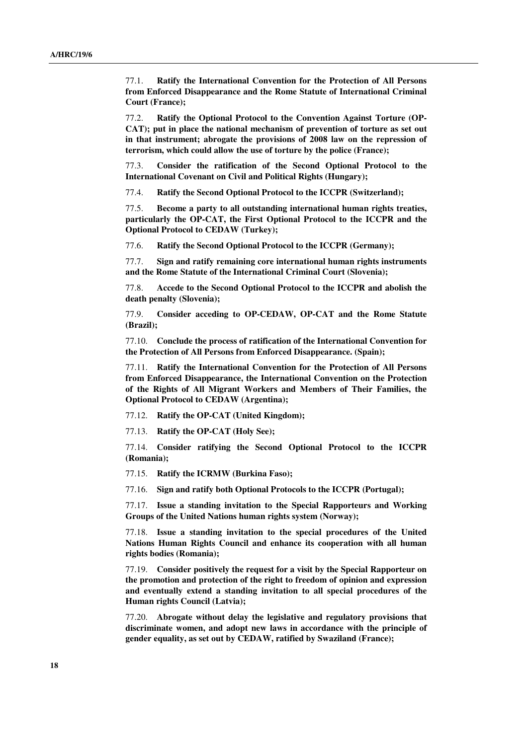77.1. **Ratify the International Convention for the Protection of All Persons from Enforced Disappearance and the Rome Statute of International Criminal Court (France);**

77.2. **Ratify the Optional Protocol to the Convention Against Torture (OP-CAT); put in place the national mechanism of prevention of torture as set out in that instrument; abrogate the provisions of 2008 law on the repression of terrorism, which could allow the use of torture by the police (France);**

77.3. **Consider the ratification of the Second Optional Protocol to the International Covenant on Civil and Political Rights (Hungary);**

77.4. **Ratify the Second Optional Protocol to the ICCPR (Switzerland);**

77.5. **Become a party to all outstanding international human rights treaties, particularly the OP-CAT, the First Optional Protocol to the ICCPR and the Optional Protocol to CEDAW (Turkey);**

77.6. **Ratify the Second Optional Protocol to the ICCPR (Germany);**

77.7. **Sign and ratify remaining core international human rights instruments and the Rome Statute of the International Criminal Court (Slovenia);**

77.8. **Accede to the Second Optional Protocol to the ICCPR and abolish the death penalty (Slovenia);**

77.9. **Consider acceding to OP-CEDAW, OP-CAT and the Rome Statute (Brazil);**

77.10. **Conclude the process of ratification of the International Convention for the Protection of All Persons from Enforced Disappearance. (Spain);** 

77.11. **Ratify the International Convention for the Protection of All Persons from Enforced Disappearance, the International Convention on the Protection of the Rights of All Migrant Workers and Members of Their Families, the Optional Protocol to CEDAW (Argentina);**

77.12. **Ratify the OP-CAT (United Kingdom);**

77.13. **Ratify the OP-CAT (Holy See);**

77.14. **Consider ratifying the Second Optional Protocol to the ICCPR (Romania);**

77.15. **Ratify the ICRMW (Burkina Faso);**

77.16. **Sign and ratify both Optional Protocols to the ICCPR (Portugal);**

77.17. **Issue a standing invitation to the Special Rapporteurs and Working Groups of the United Nations human rights system (Norway);**

77.18. **Issue a standing invitation to the special procedures of the United Nations Human Rights Council and enhance its cooperation with all human rights bodies (Romania);**

77.19. **Consider positively the request for a visit by the Special Rapporteur on the promotion and protection of the right to freedom of opinion and expression and eventually extend a standing invitation to all special procedures of the Human rights Council (Latvia);**

77.20. **Abrogate without delay the legislative and regulatory provisions that discriminate women, and adopt new laws in accordance with the principle of gender equality, as set out by CEDAW, ratified by Swaziland (France);**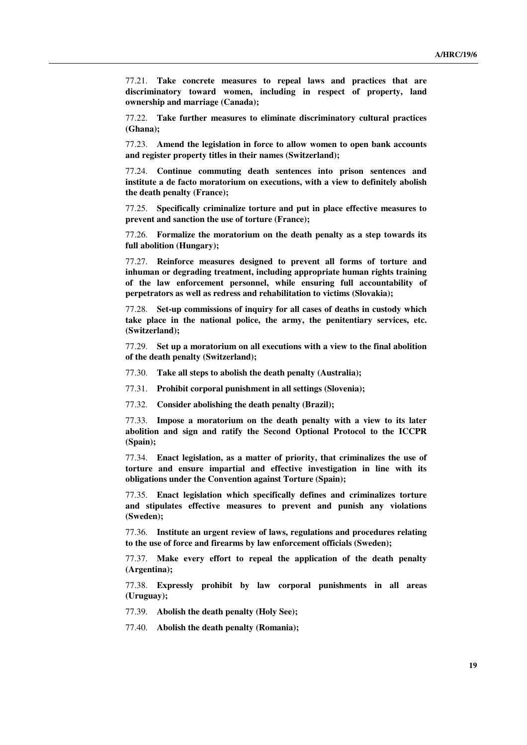77.21. **Take concrete measures to repeal laws and practices that are discriminatory toward women, including in respect of property, land ownership and marriage (Canada);**

77.22. **Take further measures to eliminate discriminatory cultural practices (Ghana);**

77.23. **Amend the legislation in force to allow women to open bank accounts and register property titles in their names (Switzerland);**

77.24. **Continue commuting death sentences into prison sentences and institute a de facto moratorium on executions, with a view to definitely abolish the death penalty (France);**

77.25. **Specifically criminalize torture and put in place effective measures to prevent and sanction the use of torture (France);** 

77.26. **Formalize the moratorium on the death penalty as a step towards its full abolition (Hungary);**

77.27. **Reinforce measures designed to prevent all forms of torture and inhuman or degrading treatment, including appropriate human rights training of the law enforcement personnel, while ensuring full accountability of perpetrators as well as redress and rehabilitation to victims (Slovakia);**

77.28. **Set-up commissions of inquiry for all cases of deaths in custody which take place in the national police, the army, the penitentiary services, etc. (Switzerland);**

77.29. **Set up a moratorium on all executions with a view to the final abolition of the death penalty (Switzerland);**

77.30. **Take all steps to abolish the death penalty (Australia);** 

77.31. **Prohibit corporal punishment in all settings (Slovenia);**

77.32. **Consider abolishing the death penalty (Brazil);**

77.33. **Impose a moratorium on the death penalty with a view to its later abolition and sign and ratify the Second Optional Protocol to the ICCPR (Spain);**

77.34. **Enact legislation, as a matter of priority, that criminalizes the use of torture and ensure impartial and effective investigation in line with its obligations under the Convention against Torture (Spain);**

77.35. **Enact legislation which specifically defines and criminalizes torture and stipulates effective measures to prevent and punish any violations (Sweden);**

77.36. **Institute an urgent review of laws, regulations and procedures relating to the use of force and firearms by law enforcement officials (Sweden);**

77.37. **Make every effort to repeal the application of the death penalty (Argentina);**

77.38. **Expressly prohibit by law corporal punishments in all areas (Uruguay);**

77.39. **Abolish the death penalty (Holy See);**

77.40. **Abolish the death penalty (Romania);**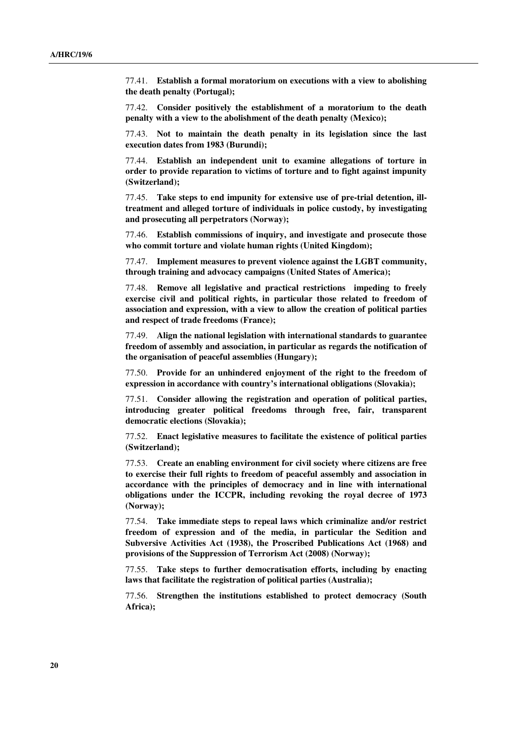77.41. **Establish a formal moratorium on executions with a view to abolishing the death penalty (Portugal);**

77.42. **Consider positively the establishment of a moratorium to the death penalty with a view to the abolishment of the death penalty (Mexico);**

77.43. **Not to maintain the death penalty in its legislation since the last execution dates from 1983 (Burundi);**

77.44. **Establish an independent unit to examine allegations of torture in order to provide reparation to victims of torture and to fight against impunity (Switzerland);**

77.45. **Take steps to end impunity for extensive use of pre-trial detention, illtreatment and alleged torture of individuals in police custody, by investigating and prosecuting all perpetrators (Norway);**

77.46. **Establish commissions of inquiry, and investigate and prosecute those who commit torture and violate human rights (United Kingdom);**

77.47. **Implement measures to prevent violence against the LGBT community, through training and advocacy campaigns (United States of America);**

77.48. **Remove all legislative and practical restrictions impeding to freely exercise civil and political rights, in particular those related to freedom of association and expression, with a view to allow the creation of political parties and respect of trade freedoms (France);**

77.49. **Align the national legislation with international standards to guarantee freedom of assembly and association, in particular as regards the notification of the organisation of peaceful assemblies (Hungary);**

77.50. **Provide for an unhindered enjoyment of the right to the freedom of expression in accordance with country's international obligations (Slovakia);**

77.51. **Consider allowing the registration and operation of political parties, introducing greater political freedoms through free, fair, transparent democratic elections (Slovakia);**

77.52. **Enact legislative measures to facilitate the existence of political parties (Switzerland);**

77.53. **Create an enabling environment for civil society where citizens are free to exercise their full rights to freedom of peaceful assembly and association in accordance with the principles of democracy and in line with international obligations under the ICCPR, including revoking the royal decree of 1973 (Norway);**

77.54. **Take immediate steps to repeal laws which criminalize and/or restrict freedom of expression and of the media, in particular the Sedition and Subversive Activities Act (1938), the Proscribed Publications Act (1968) and provisions of the Suppression of Terrorism Act (2008) (Norway);**

77.55. **Take steps to further democratisation efforts, including by enacting laws that facilitate the registration of political parties (Australia);**

77.56. **Strengthen the institutions established to protect democracy (South Africa);**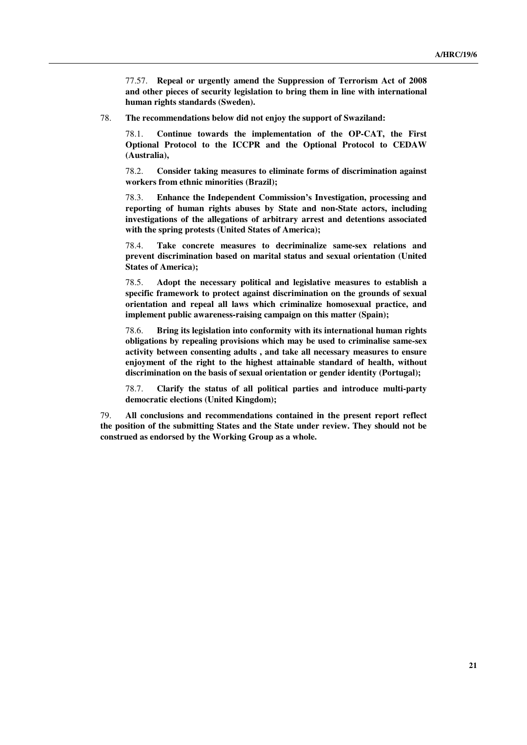77.57. **Repeal or urgently amend the Suppression of Terrorism Act of 2008 and other pieces of security legislation to bring them in line with international human rights standards (Sweden).**

78. **The recommendations below did not enjoy the support of Swaziland:**

78.1. **Continue towards the implementation of the OP-CAT, the First Optional Protocol to the ICCPR and the Optional Protocol to CEDAW (Australia),**

78.2. **Consider taking measures to eliminate forms of discrimination against workers from ethnic minorities (Brazil);**

78.3. **Enhance the Independent Commission's Investigation, processing and reporting of human rights abuses by State and non-State actors, including investigations of the allegations of arbitrary arrest and detentions associated with the spring protests (United States of America);**

78.4. **Take concrete measures to decriminalize same-sex relations and prevent discrimination based on marital status and sexual orientation (United States of America);**

78.5. **Adopt the necessary political and legislative measures to establish a specific framework to protect against discrimination on the grounds of sexual orientation and repeal all laws which criminalize homosexual practice, and implement public awareness-raising campaign on this matter (Spain);**

78.6. **Bring its legislation into conformity with its international human rights obligations by repealing provisions which may be used to criminalise same-sex activity between consenting adults , and take all necessary measures to ensure enjoyment of the right to the highest attainable standard of health, without discrimination on the basis of sexual orientation or gender identity (Portugal);**

78.7. **Clarify the status of all political parties and introduce multi-party democratic elections (United Kingdom);**

79. **All conclusions and recommendations contained in the present report reflect the position of the submitting States and the State under review. They should not be construed as endorsed by the Working Group as a whole.**